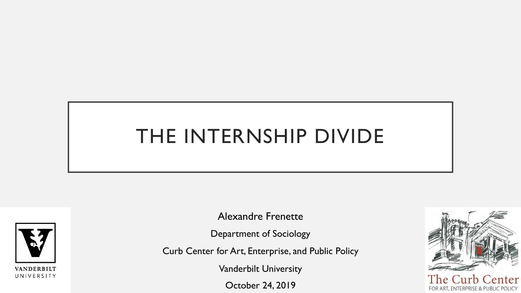# THE INTERNSHIP DIVIDE



Alexandre Frenette

Department of Sociology

Curb Center for Art, Enterprise, and Public Policy

Vanderbilt University

October 24, 2019

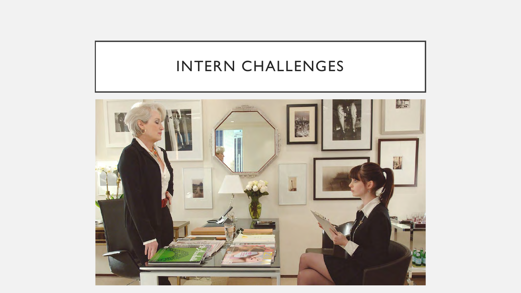# INTERN CHALLENGES

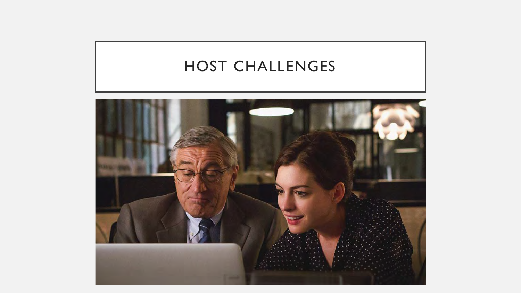# HOST CHALLENGES

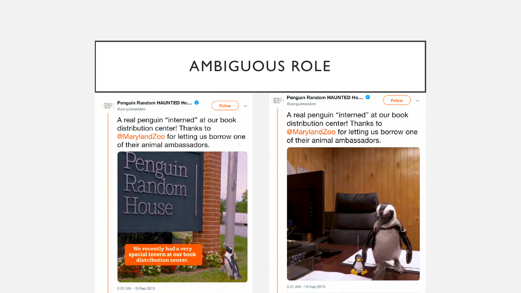### AMBIGUOUS ROLE

Penguin<br>Randon<br>House

Penguin Random HAUNTED Ho... Penguin<br>Random<br>House @penguinrandom

**Follow** 

A real penguin "interned" at our book distribution center! Thanks to @MarylandZoo for letting us borrow one of their animal ambassadors.



Penguin Random HAUNTED Ho... **@penguinrandom** 

A real penguin "interned" at our book distribution center! Thanks to @MarylandZoo for letting us borrow one of their animal ambassadors.

**Follow** 

 $\checkmark$ 



6:05 AM - 19 Sep 2019

6:05 AM - 19 Sep 2019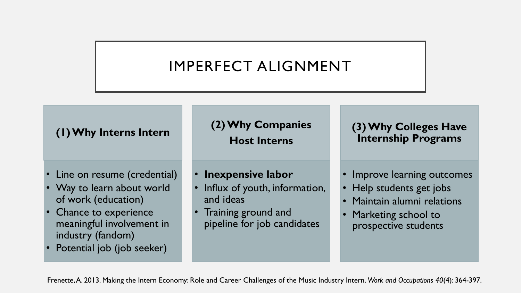# IMPERFECT ALIGNMENT

#### **(1) Why Interns Intern**

- Line on resume (credential)
- Way to learn about world of work (education)
- Chance to experience meaningful involvement in industry (fandom)
- Potential job (job seeker)

#### **(2) Why Companies Host Interns**

- **Inexpensive labor**
- Influx of youth, information, and ideas
- Training ground and pipeline for job candidates

**(3) Why Colleges Have Internship Programs**

- Improve learning outcomes
- Help students get jobs
- Maintain alumni relations
- Marketing school to prospective students

Frenette, A. 2013. Making the Intern Economy: Role and Career Challenges of the Music Industry Intern. *Work and Occupations 40*(4): 364-397.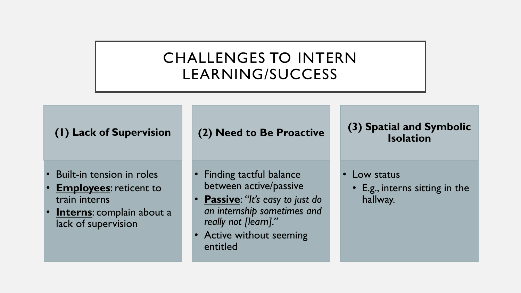# CHALLENGES TO INTERN LEARNING/SUCCESS

**(1) Lack of Supervision**

- Built-in tension in roles
- **Employees**: reticent to train interns
- **Interns:** complain about a lack of supervision

**(2) Need to Be Proactive** 

• Finding tactful balance between active/passive

- **Passive**: *"It's easy to just do an internship sometimes and really not [learn]."*
- Active without seeming entitled

**(3) Spatial and Symbolic Isolation**

- Low status
	- E.g., interns sitting in the hallway.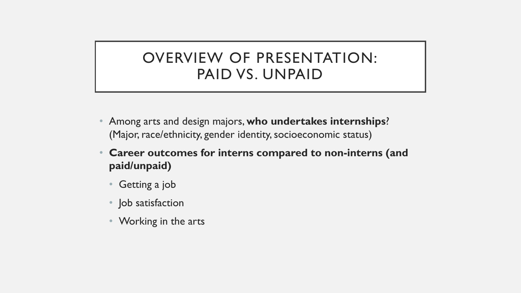### OVERVIEW OF PRESENTATION: PAID VS. UNPAID

- Among arts and design majors, **who undertakes internships**? (Major, race/ethnicity, gender identity, socioeconomic status)
- **Career outcomes for interns compared to non-interns (and paid/unpaid)**
	- Getting a job
	- Job satisfaction
	- Working in the arts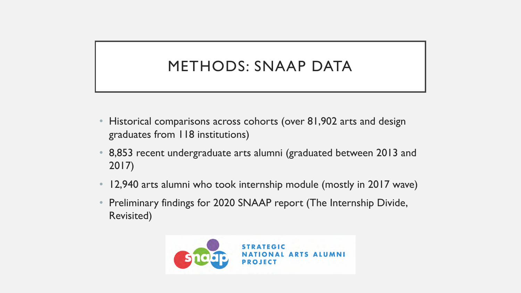# METHODS: SNAAP DATA

- Historical comparisons across cohorts (over 81,902 arts and design graduates from 118 institutions)
- 8,853 recent undergraduate arts alumni (graduated between 2013 and 2017)
- 12,940 arts alumni who took internship module (mostly in 2017 wave)
- Preliminary findings for 2020 SNAAP report (The Internship Divide, Revisited)

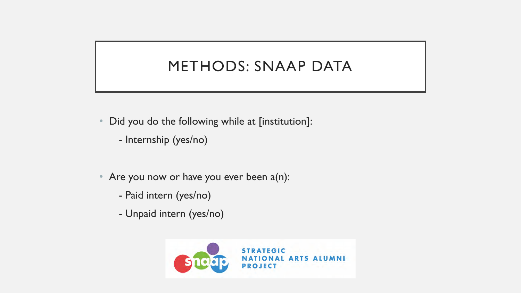# METHODS: SNAAP DATA

- Did you do the following while at [institution]:
	- Internship (yes/no)
- Are you now or have you ever been a(n):
	- Paid intern (yes/no)
	- Unpaid intern (yes/no)

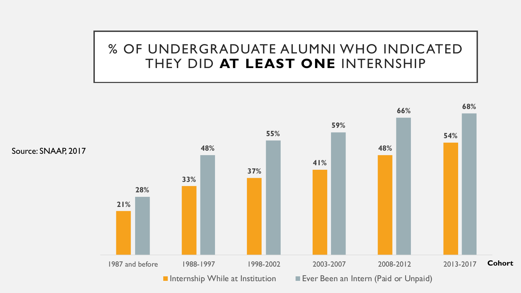#### % OF UNDERGRADUATE ALUMNI WHO INDICATED THEY DID **AT LEAST ONE** INTERNSHIP

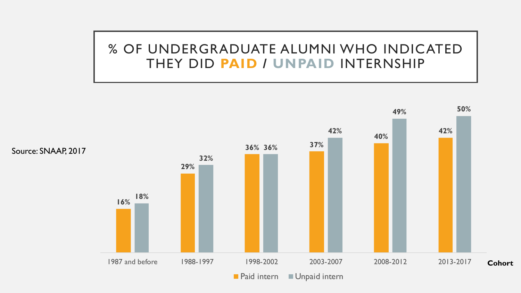#### % OF UNDERGRADUATE ALUMNI WHO INDICATED THEY DID **PAID / UNPAID** INTERNSHIP

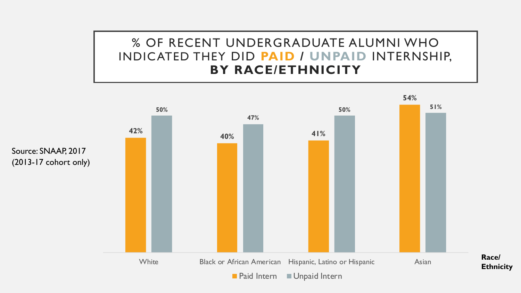#### % OF RECENT UNDERGRADUATE ALUMNI WHO INDICATED THEY DID **PAID / UNPAID** INTERNSHIP, **BY RACE/ETHNICITY**

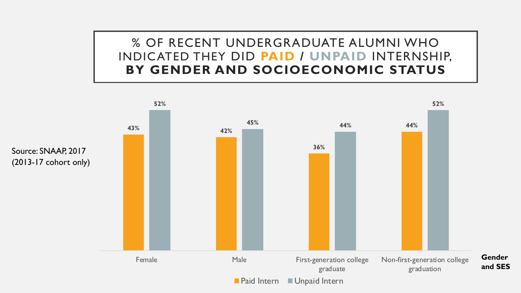% OF RECENT UNDERGRADUATE ALUMNI WHO INDICATED THEY DID **PAID / UNPAID** INTERNSHIP, **BY GENDER AND SOCIOECONOMIC STATUS**

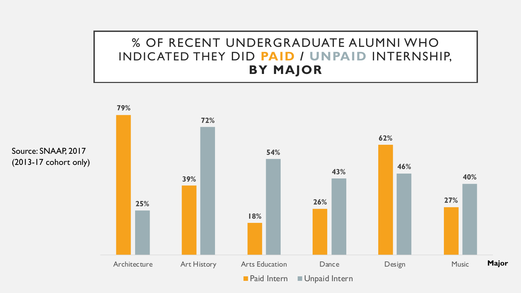#### % OF RECENT UNDERGRADUATE ALUMNI WHO INDICATED THEY DID **PAID / UNPAID** INTERNSHIP, **BY MAJOR**

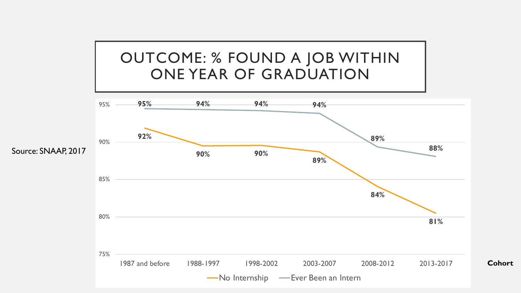



**Cohort**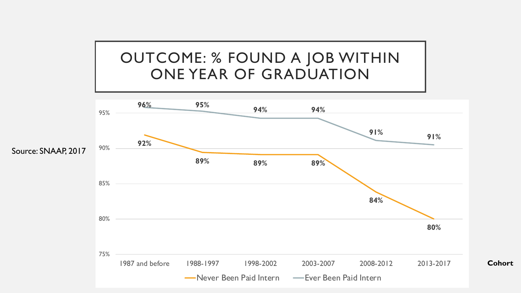# OUTCOME: % FOUND A JOB WITHIN ONE YEAR OF GRADUATION

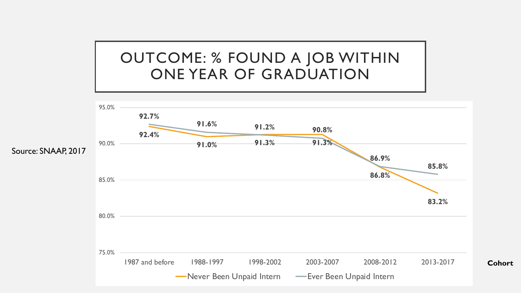# OUTCOME: % FOUND A JOB WITHIN ONE YEAR OF GRADUATION

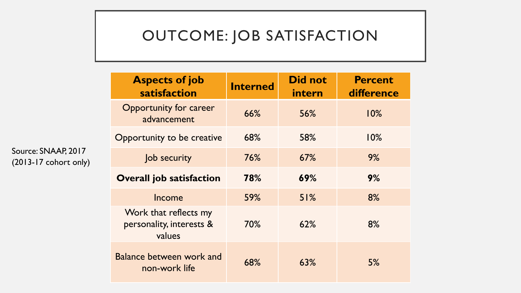# OUTCOME: JOB SATISFACTION

| <b>Aspects of job</b><br>satisfaction                       | <b>Interned</b> | <b>Did not</b><br>intern | <b>Percent</b><br>difference |
|-------------------------------------------------------------|-----------------|--------------------------|------------------------------|
| <b>Opportunity for career</b><br>advancement                | 66%             | 56%                      | 10%                          |
| Opportunity to be creative                                  | 68%             | 58%                      | 10%                          |
| Job security                                                | 76%             | 67%                      | 9%                           |
| <b>Overall job satisfaction</b>                             | 78%             | 69%                      | 9%                           |
| Income                                                      | 59%             | 51%                      | 8%                           |
| Work that reflects my<br>personality, interests &<br>values | 70%             | 62%                      | 8%                           |
| <b>Balance between work and</b><br>non-work life            | 68%             | 63%                      | 5%                           |

Source: SNAAP, 2017 (2013-17 cohort only)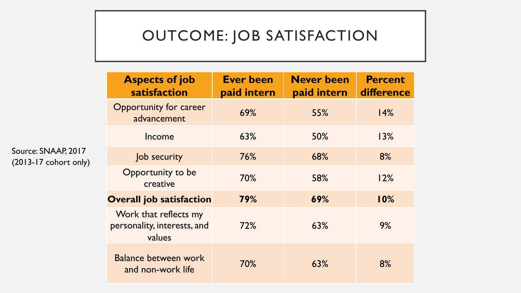# OUTCOME: JOB SATISFACTION

| <b>Aspects of job</b><br>satisfaction                          | <b>Ever been</b><br>paid intern | <b>Never been</b><br>paid intern | <b>Percent</b><br>difference |
|----------------------------------------------------------------|---------------------------------|----------------------------------|------------------------------|
| Opportunity for career<br>advancement                          | 69%                             | 55%                              | 14%                          |
| Income                                                         | 63%                             | 50%                              | 13%                          |
| Job security                                                   | 76%                             | 68%                              | 8%                           |
| Opportunity to be<br>creative                                  | 70%                             | 58%                              | 12%                          |
| <b>Overall job satisfaction</b>                                | 79%                             | 69%                              | 10%                          |
| Work that reflects my<br>personality, interests, and<br>values | 72%                             | 63%                              | 9%                           |
| <b>Balance between work</b><br>and non-work life               | 70%                             | 63%                              | 8%                           |

Source: SNAAP, 2017 (2013-17 cohort only)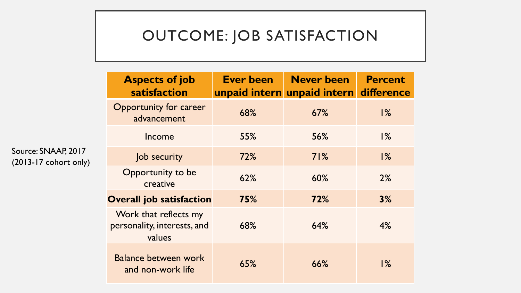# OUTCOME: JOB SATISFACTION

| <b>Aspects of job</b><br>satisfaction                          | Ever been | <b>Never been</b><br>unpaid intern unpaid intern | <b>Percent</b><br>difference |
|----------------------------------------------------------------|-----------|--------------------------------------------------|------------------------------|
| <b>Opportunity for career</b><br>advancement                   | 68%       | 67%                                              | $1\%$                        |
| Income                                                         | 55%       | 56%                                              | $1\%$                        |
| Job security                                                   | 72%       | 71%                                              | $\frac{9}{6}$                |
| Opportunity to be<br>creative                                  | 62%       | 60%                                              | 2%                           |
| <b>Overall job satisfaction</b>                                | 75%       | 72%                                              | 3%                           |
| Work that reflects my<br>personality, interests, and<br>values | 68%       | 64%                                              | 4%                           |
| <b>Balance between work</b><br>and non-work life               | 65%       | 66%                                              | $1\%$                        |

Source: SNAAP, 2017 (2013-17 cohort only)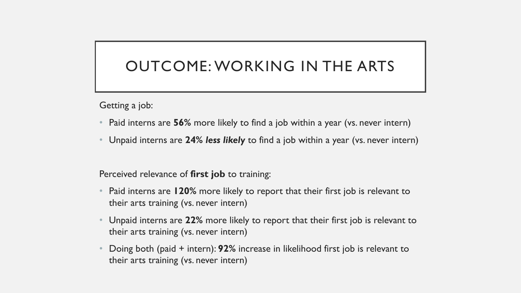### OUTCOME: WORKING IN THE ARTS

Getting a job:

- Paid interns are **56%** more likely to find a job within a year (vs. never intern)
- Unpaid interns are **24%** *less likely* to find a job within a year (vs. never intern)

Perceived relevance of **first job** to training:

- Paid interns are **120%** more likely to report that their first job is relevant to their arts training (vs. never intern)
- Unpaid interns are **22%** more likely to report that their first job is relevant to their arts training (vs. never intern)
- Doing both (paid + intern): **92%** increase in likelihood first job is relevant to their arts training (vs. never intern)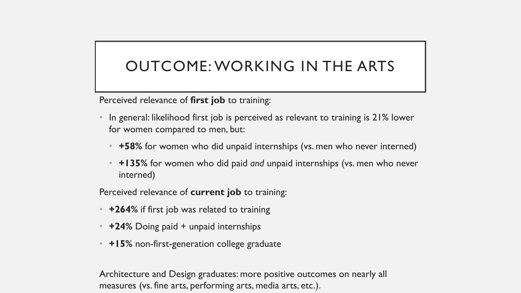# OUTCOME: WORKING IN THE ARTS

Perceived relevance of **first job** to training:

- In general: likelihood first job is perceived as relevant to training is 21% lower for women compared to men, but:
	- **+58%** for women who did unpaid internships (vs. men who never interned)
	- **+135%** for women who did paid *and* unpaid internships (vs. men who never interned)

Perceived relevance of **current job** to training:

- **+264%** if first job was related to training
- **+24%** Doing paid + unpaid internships
- **+15%** non-first-generation college graduate

Architecture and Design graduates: more positive outcomes on nearly all measures (vs. fine arts, performing arts, media arts, etc.).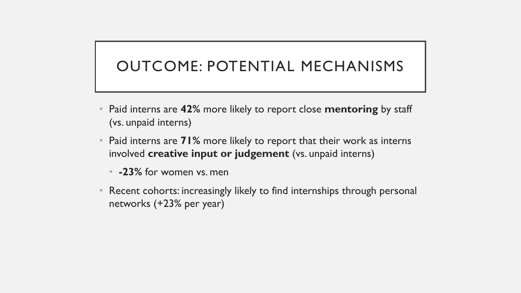# OUTCOME: POTENTIAL MECHANISMS

- Paid interns are **42%** more likely to report close **mentoring** by staff (vs. unpaid interns)
- Paid interns are **71%** more likely to report that their work as interns involved **creative input or judgement** (vs. unpaid interns)
	- **-23%** for women vs. men
- Recent cohorts: increasingly likely to find internships through personal networks (+23% per year)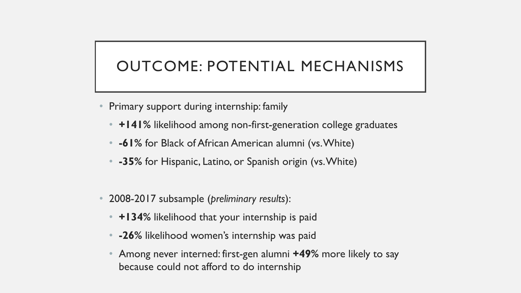# OUTCOME: POTENTIAL MECHANISMS

- Primary support during internship: family
	- **+141%** likelihood among non-first-generation college graduates
	- **-61%** for Black of African American alumni (vs. White)
	- **-35%** for Hispanic, Latino, or Spanish origin (vs. White)
- 2008-2017 subsample (*preliminary results*):
	- **+134%** likelihood that your internship is paid
	- **-26%** likelihood women's internship was paid
	- Among never interned: first-gen alumni **+49%** more likely to say because could not afford to do internship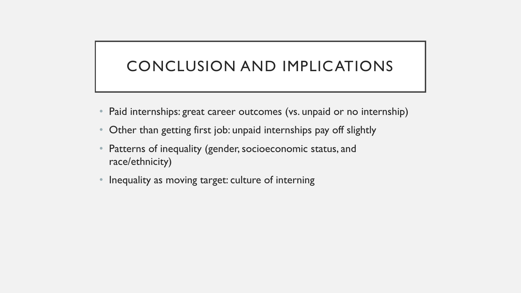# CONCLUSION AND IMPLICATIONS

- Paid internships: great career outcomes (vs. unpaid or no internship)
- Other than getting first job: unpaid internships pay off slightly
- Patterns of inequality (gender, socioeconomic status, and race/ethnicity)
- Inequality as moving target: culture of interning